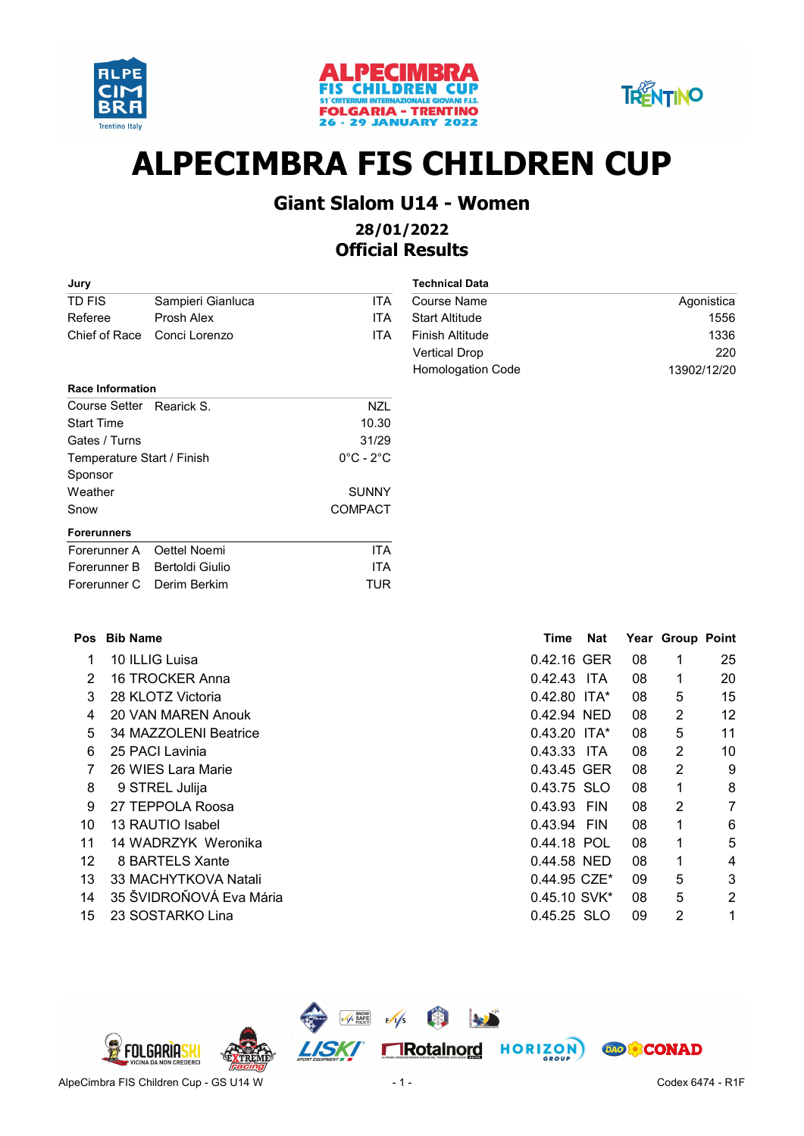





# ALPECIMBRA FIS CHILDREN CUP

## Giant Slalom U14 - Women

### 28/01/2022 Official Results

| Jury                    |                 |                            |                               | <b>Technical Data</b>  |              |            |    |                  |             |
|-------------------------|-----------------|----------------------------|-------------------------------|------------------------|--------------|------------|----|------------------|-------------|
| <b>TD FIS</b>           |                 | Sampieri Gianluca          | <b>ITA</b>                    | <b>Course Name</b>     |              |            |    |                  | Agonistica  |
| Referee                 |                 | Prosh Alex                 | <b>ITA</b>                    | <b>Start Altitude</b>  |              |            |    |                  | 1556        |
| Chief of Race           |                 | Conci Lorenzo              | <b>ITA</b>                    | <b>Finish Altitude</b> |              |            |    |                  | 1336        |
|                         |                 |                            |                               | <b>Vertical Drop</b>   |              |            |    |                  | 220         |
|                         |                 |                            |                               | Homologation Code      |              |            |    |                  | 13902/12/20 |
| <b>Race Information</b> |                 |                            |                               |                        |              |            |    |                  |             |
|                         |                 | Course Setter Rearick S.   | <b>NZL</b>                    |                        |              |            |    |                  |             |
| <b>Start Time</b>       |                 |                            | 10.30                         |                        |              |            |    |                  |             |
| Gates / Turns           |                 |                            | 31/29                         |                        |              |            |    |                  |             |
|                         |                 | Temperature Start / Finish | $0^{\circ}$ C - $2^{\circ}$ C |                        |              |            |    |                  |             |
| Sponsor                 |                 |                            |                               |                        |              |            |    |                  |             |
| Weather                 |                 |                            | <b>SUNNY</b>                  |                        |              |            |    |                  |             |
| Snow                    |                 |                            | <b>COMPACT</b>                |                        |              |            |    |                  |             |
| <b>Forerunners</b>      |                 |                            |                               |                        |              |            |    |                  |             |
| Forerunner A            |                 | Oettel Noemi               | <b>ITA</b>                    |                        |              |            |    |                  |             |
| Forerunner B            |                 | <b>Bertoldi Giulio</b>     | <b>ITA</b>                    |                        |              |            |    |                  |             |
| Forerunner C            |                 | Derim Berkim               | <b>TUR</b>                    |                        |              |            |    |                  |             |
|                         |                 |                            |                               |                        |              |            |    |                  |             |
| <b>Pos</b>              | <b>Bib Name</b> |                            |                               |                        | <b>Time</b>  | <b>Nat</b> |    | Year Group Point |             |
| 1                       |                 | 10 ILLIG Luisa             |                               |                        | 0.42.16 GER  |            | 08 | 1                | 25          |
| $\overline{2}$          |                 | 16 TROCKER Anna            |                               |                        | 0.42.43 ITA  |            | 08 | 1                | 20          |
| 3                       |                 | 28 KLOTZ Victoria          |                               |                        | 0.42.80 ITA* |            | 08 | 5                | 15          |
| 4                       |                 | 20 VAN MAREN Anouk         |                               |                        | 0.42.94 NED  |            | 08 | 2                | 12          |
| 5                       |                 | 34 MAZZOLENI Beatrice      |                               |                        | 0.43.20 ITA* |            | 08 | 5                | 11          |
| 6                       |                 | 25 PACI Lavinia            |                               |                        | 0.43.33 ITA  |            | 08 | $\overline{c}$   | 10          |
| 7                       |                 | 26 WIES Lara Marie         |                               |                        | 0.43.45 GER  |            | 08 | 2                | 9           |
| 8                       |                 | 9 STREL Julija             |                               |                        | 0.43.75 SLO  |            | 08 | 1                | 8           |
| 9                       |                 | 27 TEPPOLA Roosa           |                               |                        | 0.43.93 FIN  |            | 08 | 2                | 7           |
| 10                      |                 | 13 RAUTIO Isabel           |                               |                        | 0.43.94 FIN  |            | 08 | 1                | 6           |

- 11 14 WADRZYK Weronika 1 1 14 NADRZYK Weronika
- 12 BARTELS Xante 1 4 8 0.44.58 NED 08
- 13 MACHYTKOVA Natali 5 3 33 0.44.95 CZE\* 09
- 14 35 ŠVIDROŇOVÁ Eva Mária 12 35 SVIDROŇOVÁ Eva Mária 12 35 SV 2
- 15 SOSTARKO Lina 2 1 23 0.45.25 SLO 09

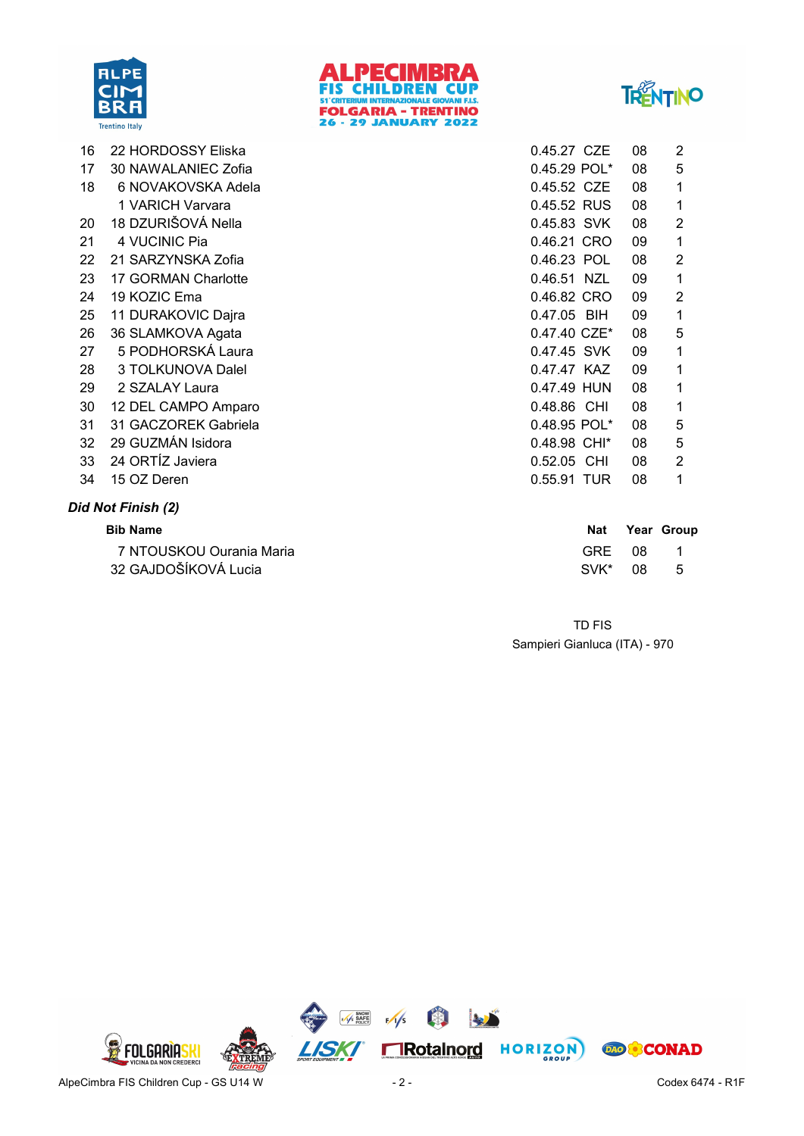





| 16 | 22 HORDOSSY Eliska   | 0.45.27 CZE  | 08 | 2 |
|----|----------------------|--------------|----|---|
| 17 | 30 NAWALANIEC Zofia  | 0.45.29 POL* | 08 | 5 |
| 18 | 6 NOVAKOVSKA Adela   | 0.45.52 CZE  | 08 | 1 |
|    | 1 VARICH Varvara     | 0.45.52 RUS  | 08 | 1 |
| 20 | 18 DZURIŠOVÁ Nella   | 0.45.83 SVK  | 08 | 2 |
| 21 | 4 VUCINIC Pia        | 0.46.21 CRO  | 09 | 1 |
| 22 | 21 SARZYNSKA Zofia   | 0.46.23 POL  | 08 | 2 |
| 23 | 17 GORMAN Charlotte  | 0.46.51 NZL  | 09 | 1 |
| 24 | 19 KOZIC Ema         | 0.46.82 CRO  | 09 | 2 |
| 25 | 11 DURAKOVIC Dajra   | 0.47.05 BIH  | 09 | 1 |
| 26 | 36 SLAMKOVA Agata    | 0.47.40 CZE* | 08 | 5 |
| 27 | 5 PODHORSKÁ Laura    | 0.47.45 SVK  | 09 | 1 |
| 28 | 3 TOLKUNOVA Dalel    | 0.47.47 KAZ  | 09 | 1 |
| 29 | 2 SZALAY Laura       | 0.47.49 HUN  | 08 | 1 |
| 30 | 12 DEL CAMPO Amparo  | 0.48.86 CHI  | 08 | 1 |
| 31 | 31 GACZOREK Gabriela | 0.48.95 POL* | 08 | 5 |
| 32 | 29 GUZMÁN Isidora    | 0.48.98 CHI* | 08 | 5 |
| 33 | 24 ORTÍZ Javiera     | 0.52.05 CHI  | 08 | 2 |
| 34 | 15 OZ Deren          | 0.55.91 TUR  | 08 | 1 |

#### Did Not Finish (2)

| <b>Bib Name</b>          | Nat     | Year Group |
|--------------------------|---------|------------|
| 7 NTOUSKOU Ourania Maria | GRE 08  |            |
| 32 GAJDOŠÍKOVÁ Lucia     | SVK* 08 | - 5        |

Sampieri Gianluca (ITA) - 970 TD FIS